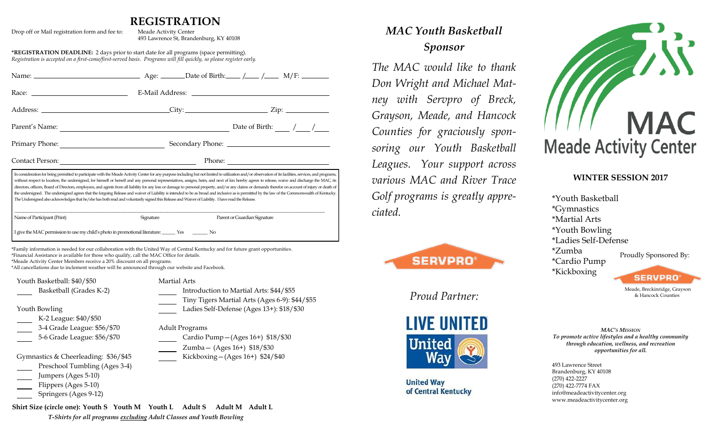## **REGISTRATION**

| Drop off or Mail registration form and fee to:                                                                                                                                                                                                                                                                                                                                                             | Meade Activity Center<br>493 Lawrence St, Brandenburg, KY 40108                                                                                                                                                                                                                                                                                                                                                                                                                                                                                                                                           |
|------------------------------------------------------------------------------------------------------------------------------------------------------------------------------------------------------------------------------------------------------------------------------------------------------------------------------------------------------------------------------------------------------------|-----------------------------------------------------------------------------------------------------------------------------------------------------------------------------------------------------------------------------------------------------------------------------------------------------------------------------------------------------------------------------------------------------------------------------------------------------------------------------------------------------------------------------------------------------------------------------------------------------------|
| *REGISTRATION DEADLINE: 2 days prior to start date for all programs (space permitting).<br>Registration is accepted on a first-come/first-served basis. Programs will fill quickly, so please register early.                                                                                                                                                                                              |                                                                                                                                                                                                                                                                                                                                                                                                                                                                                                                                                                                                           |
|                                                                                                                                                                                                                                                                                                                                                                                                            |                                                                                                                                                                                                                                                                                                                                                                                                                                                                                                                                                                                                           |
|                                                                                                                                                                                                                                                                                                                                                                                                            |                                                                                                                                                                                                                                                                                                                                                                                                                                                                                                                                                                                                           |
|                                                                                                                                                                                                                                                                                                                                                                                                            |                                                                                                                                                                                                                                                                                                                                                                                                                                                                                                                                                                                                           |
|                                                                                                                                                                                                                                                                                                                                                                                                            | Parent's Name: $\frac{1}{\sqrt{1-\frac{1}{2}}}\sqrt{1-\frac{1}{2}}$                                                                                                                                                                                                                                                                                                                                                                                                                                                                                                                                       |
|                                                                                                                                                                                                                                                                                                                                                                                                            | Primary Phone: Secondary Phone: 2008 - 2014                                                                                                                                                                                                                                                                                                                                                                                                                                                                                                                                                               |
| Contact Person: New York Contact Person:                                                                                                                                                                                                                                                                                                                                                                   | Phone: $\frac{1}{\sqrt{1-\frac{1}{2}}\sqrt{1-\frac{1}{2}}\sqrt{1-\frac{1}{2}}\sqrt{1-\frac{1}{2}}\sqrt{1-\frac{1}{2}}\sqrt{1-\frac{1}{2}}\sqrt{1-\frac{1}{2}}\sqrt{1-\frac{1}{2}}\sqrt{1-\frac{1}{2}}\sqrt{1-\frac{1}{2}}\sqrt{1-\frac{1}{2}}\sqrt{1-\frac{1}{2}}\sqrt{1-\frac{1}{2}}\sqrt{1-\frac{1}{2}}\sqrt{1-\frac{1}{2}}\sqrt{1-\frac{1}{2}}\sqrt{1-\frac{1}{2}}\sqrt{1-\frac{1}{2}}\sqrt{1-\frac{1}{2$                                                                                                                                                                                              |
| Name of Participant (Print)<br>I give the MAC permission to use my child's photo in promotional literature: ________ Yes __________ No                                                                                                                                                                                                                                                                     | directors, officers, Board of Directors, employees, and agents from all liability for any loss or damage to personal property, and/or any claims or demands therefor on account of injury or death of<br>the undersigned. The undersigned agrees that the forgoing Release and waiver of Liability is intended to be as broad and inclusive as is permitted by the law of the Commonwealth of Kentucky.<br>The Undersigned also acknowledges that he/she has both read and voluntarily signed this Release and Waiver of Liability. I have read the Release.<br>Signature<br>Parent or Guardian Signature |
| *Family information is needed for our collaboration with the United Way of Central Kentucky and for future grant opportunities.<br>*Financial Assistance is available for those who qualify, call the MAC Office for details.<br>*Meade Activity Center Members receive a 20% discount on all programs.<br>*All cancellations due to inclement weather will be announced through our website and Facebook. |                                                                                                                                                                                                                                                                                                                                                                                                                                                                                                                                                                                                           |
| Youth Basketball: \$40/\$50                                                                                                                                                                                                                                                                                                                                                                                | <b>Martial Arts</b>                                                                                                                                                                                                                                                                                                                                                                                                                                                                                                                                                                                       |
| Basketball (Grades K-2)                                                                                                                                                                                                                                                                                                                                                                                    | Introduction to Martial Arts: \$44/\$55                                                                                                                                                                                                                                                                                                                                                                                                                                                                                                                                                                   |
| Youth Bowling                                                                                                                                                                                                                                                                                                                                                                                              | Tiny Tigers Martial Arts (Ages 6-9): \$44/\$55<br>Ladies Self-Defense (Ages 13+): \$18/\$30                                                                                                                                                                                                                                                                                                                                                                                                                                                                                                               |
| K-2 League: \$40/\$50                                                                                                                                                                                                                                                                                                                                                                                      |                                                                                                                                                                                                                                                                                                                                                                                                                                                                                                                                                                                                           |
| 3-4 Grade League: \$56/\$70                                                                                                                                                                                                                                                                                                                                                                                | <b>Adult Programs</b>                                                                                                                                                                                                                                                                                                                                                                                                                                                                                                                                                                                     |
| 5-6 Grade League: \$56/\$70                                                                                                                                                                                                                                                                                                                                                                                | Cardio Pump - (Ages 16+) \$18/\$30                                                                                                                                                                                                                                                                                                                                                                                                                                                                                                                                                                        |
|                                                                                                                                                                                                                                                                                                                                                                                                            | Zumba - (Ages 16+) \$18/\$30                                                                                                                                                                                                                                                                                                                                                                                                                                                                                                                                                                              |
| Gymnastics & Cheerleading: \$36/\$45                                                                                                                                                                                                                                                                                                                                                                       | Kickboxing-(Ages 16+) \$24/\$40                                                                                                                                                                                                                                                                                                                                                                                                                                                                                                                                                                           |
| Preschool Tumbling (Ages 3-4)                                                                                                                                                                                                                                                                                                                                                                              |                                                                                                                                                                                                                                                                                                                                                                                                                                                                                                                                                                                                           |
| Jumpers (Ages 5-10)                                                                                                                                                                                                                                                                                                                                                                                        |                                                                                                                                                                                                                                                                                                                                                                                                                                                                                                                                                                                                           |
| Flippers (Ages 5-10)                                                                                                                                                                                                                                                                                                                                                                                       |                                                                                                                                                                                                                                                                                                                                                                                                                                                                                                                                                                                                           |
| Springers (Ages 9-12)                                                                                                                                                                                                                                                                                                                                                                                      |                                                                                                                                                                                                                                                                                                                                                                                                                                                                                                                                                                                                           |

*MAC Youth Basketball Sponsor*

*The MAC would like to thank Don Wright and Michael Matney with Servpro of Breck, Grayson, Meade, and Hancock Counties for graciously sponsoring our Youth Basketball Leagues. Your support across various MAC and River Trace Golf programs is greatly appreciated.*



*Proud Partner:*



**United Way** of Central Kentucky



### **WINTER SESSION 2017**

\*Youth Basketball \*Gymnastics \*Martial Arts \*Youth Bowling \*Ladies Self-Defense \*Zumba Proudly Sponsored By: \*Cardio Pump \*Kickboxing **SERVPRO** 

> Meade, Breckinridge, Grayson & Hancock Counties

*MAC'S MISSION To promote active lifestyles and a healthy community through education, wellness, and recreation opportunities for all.*

493 Lawrence Street Brandenburg, KY 40108 (270) 422-2227 (270) 422-7774 FAX info@meadeactivitycenter.org www.meadeactivitycenter.org

**Shirt Size (circle one): Youth S Youth M Youth L Adult S Adult M Adult L** *T-Shirts for all programs excluding Adult Classes and Youth Bowling*